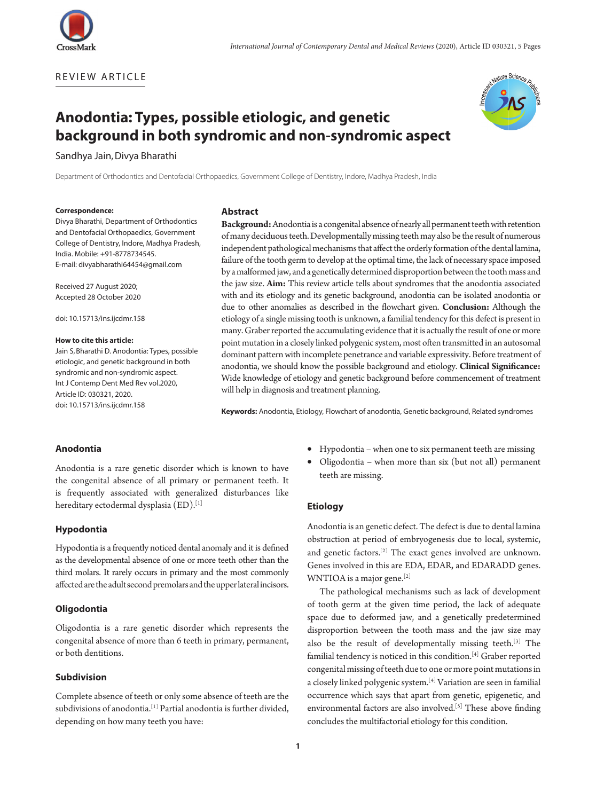



# **Anodontia: Types, possible etiologic, and genetic background in both syndromic and non-syndromic aspect**

Sandhya Jain,Divya Bharathi

Department of Orthodontics and Dentofacial Orthopaedics, Government College of Dentistry, Indore, Madhya Pradesh, India

#### **Correspondence:**

Divya Bharathi, Department of Orthodontics and Dentofacial Orthopaedics, Government College of Dentistry, Indore, Madhya Pradesh, India. Mobile: +91-8778734545. E-mail: divyabharathi64454@gmail.com

Received 27 August 2020; Accepted 28 October 2020

doi: 10.15713/ins.ijcdmr.158

## **How to cite this article:**

Jain S, Bharathi D. Anodontia: Types, possible etiologic, and genetic background in both syndromic and non-syndromic aspect. Int J Contemp Dent Med Rev vol.2020, Article ID: 030321, 2020. doi: 10.15713/ins.ijcdmr.158

# **Abstract**

**Background:** Anodontia is a congenital absence of nearly all permanent teeth with retention of many deciduous teeth. Developmentally missing teeth may also be the result of numerous independent pathological mechanisms that affect the orderly formation of the dental lamina, failure of the tooth germ to develop at the optimal time, the lack of necessary space imposed by a malformed jaw, and a genetically determined disproportion between the tooth mass and the jaw size. **Aim:** This review article tells about syndromes that the anodontia associated with and its etiology and its genetic background, anodontia can be isolated anodontia or due to other anomalies as described in the flowchart given. **Conclusion:** Although the etiology of a single missing tooth is unknown, a familial tendency for this defect is present in many. Graber reported the accumulating evidence that it is actually the result of one or more point mutation in a closely linked polygenic system, most often transmitted in an autosomal dominant pattern with incomplete penetrance and variable expressivity. Before treatment of anodontia, we should know the possible background and etiology. **Clinical Significance:** Wide knowledge of etiology and genetic background before commencement of treatment will help in diagnosis and treatment planning.

**Keywords:** Anodontia, Etiology, Flowchart of anodontia, Genetic background, Related syndromes

## **Anodontia**

Anodontia is a rare genetic disorder which is known to have the congenital absence of all primary or permanent teeth. It is frequently associated with generalized disturbances like hereditary ectodermal dysplasia (ED).[1]

## **Hypodontia**

Hypodontia is a frequently noticed dental anomaly and it is defined as the developmental absence of one or more teeth other than the third molars. It rarely occurs in primary and the most commonly affected are the adult second premolars and the upper lateral incisors.

## **Oligodontia**

Oligodontia is a rare genetic disorder which represents the congenital absence of more than 6 teeth in primary, permanent, or both dentitions.

# **Subdivision**

Complete absence of teeth or only some absence of teeth are the subdivisions of anodontia.<sup>[1]</sup> Partial anodontia is further divided, depending on how many teeth you have:

- • Hypodontia when one to six permanent teeth are missing
- Oligodontia when more than six (but not all) permanent teeth are missing.

# **Etiology**

Anodontia is an genetic defect. The defect is due to dental lamina obstruction at period of embryogenesis due to local, systemic, and genetic factors.[2] The exact genes involved are unknown. Genes involved in this are EDA, EDAR, and EDARADD genes. WNTIOA is a major gene.<sup>[2]</sup>

The pathological mechanisms such as lack of development of tooth germ at the given time period, the lack of adequate space due to deformed jaw, and a genetically predetermined disproportion between the tooth mass and the jaw size may also be the result of developmentally missing teeth.[3] The familial tendency is noticed in this condition.[4] Graber reported congenital missing of teeth due to one or more point mutations in a closely linked polygenic system.[4] Variation are seen in familial occurrence which says that apart from genetic, epigenetic, and environmental factors are also involved.<sup>[5]</sup> These above finding concludes the multifactorial etiology for this condition.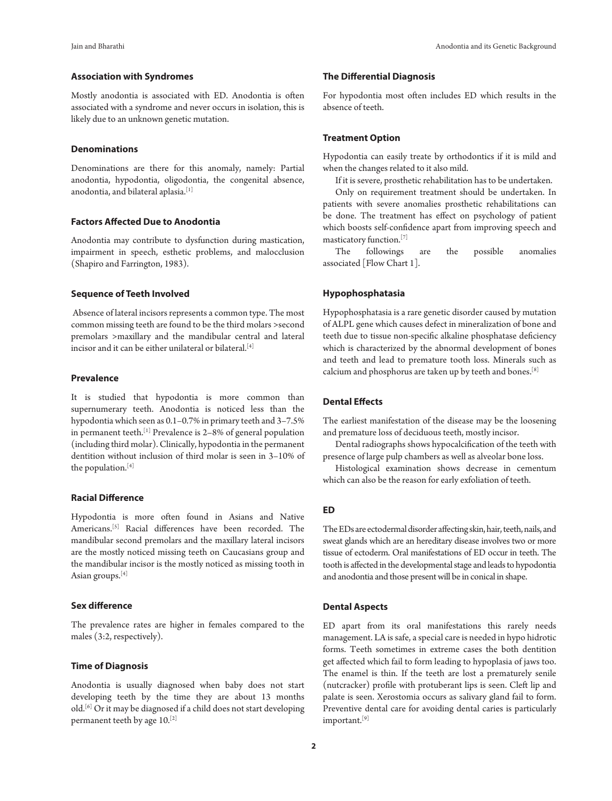# **Association with Syndromes**

Mostly anodontia is associated with ED. Anodontia is often associated with a syndrome and never occurs in isolation, this is likely due to an unknown genetic mutation.

## **Denominations**

Denominations are there for this anomaly, namely: Partial anodontia, hypodontia, oligodontia, the congenital absence, anodontia, and bilateral aplasia.[1]

# **Factors Affected Due to Anodontia**

Anodontia may contribute to dysfunction during mastication, impairment in speech, esthetic problems, and malocclusion (Shapiro and Farrington, 1983).

#### **Sequence of Teeth Involved**

 Absence of lateral incisors represents a common type. The most common missing teeth are found to be the third molars >second premolars >maxillary and the mandibular central and lateral incisor and it can be either unilateral or bilateral.<sup>[4]</sup>

## **Prevalence**

It is studied that hypodontia is more common than supernumerary teeth. Anodontia is noticed less than the hypodontia which seen as 0.1–0.7% in primary teeth and 3–7.5% in permanent teeth.<sup>[1]</sup> Prevalence is 2-8% of general population (including third molar). Clinically, hypodontia in the permanent dentition without inclusion of third molar is seen in 3–10% of the population.<sup>[4]</sup>

# **Racial Difference**

Hypodontia is more often found in Asians and Native Americans.[5] Racial differences have been recorded. The mandibular second premolars and the maxillary lateral incisors are the mostly noticed missing teeth on Caucasians group and the mandibular incisor is the mostly noticed as missing tooth in Asian groups.[4]

# **Sex difference**

The prevalence rates are higher in females compared to the males (3:2, respectively).

# **Time of Diagnosis**

Anodontia is usually diagnosed when baby does not start developing teeth by the time they are about 13 months old.[6] Or it may be diagnosed if a child does not start developing permanent teeth by age 10.[2]

# **The Differential Diagnosis**

For hypodontia most often includes ED which results in the absence of teeth.

#### **Treatment Option**

Hypodontia can easily treate by orthodontics if it is mild and when the changes related to it also mild.

If it is severe, prosthetic rehabilitation has to be undertaken.

Only on requirement treatment should be undertaken. In patients with severe anomalies prosthetic rehabilitations can be done. The treatment has effect on psychology of patient which boosts self-confidence apart from improving speech and masticatory function.[7]

The followings are the possible anomalies associated [Flow Chart 1].

## **Hypophosphatasia**

Hypophosphatasia is a rare genetic disorder caused by mutation of ALPL gene which causes defect in mineralization of bone and teeth due to tissue non-specific alkaline phosphatase deficiency which is characterized by the abnormal development of bones and teeth and lead to premature tooth loss. Minerals such as calcium and phosphorus are taken up by teeth and bones.[8]

# **Dental Effects**

The earliest manifestation of the disease may be the loosening and premature loss of deciduous teeth, mostly incisor.

Dental radiographs shows hypocalcification of the teeth with presence of large pulp chambers as well as alveolar bone loss.

Histological examination shows decrease in cementum which can also be the reason for early exfoliation of teeth.

# **ED**

The EDs are ectodermal disorder affecting skin, hair, teeth, nails, and sweat glands which are an hereditary disease involves two or more tissue of ectoderm. Oral manifestations of ED occur in teeth. The tooth is affected in the developmental stage and leads to hypodontia and anodontia and those present will be in conical in shape.

## **Dental Aspects**

ED apart from its oral manifestations this rarely needs management. LA is safe, a special care is needed in hypo hidrotic forms. Teeth sometimes in extreme cases the both dentition get affected which fail to form leading to hypoplasia of jaws too. The enamel is thin. If the teeth are lost a prematurely senile (nutcracker) profile with protuberant lips is seen. Cleft lip and palate is seen. Xerostomia occurs as salivary gland fail to form. Preventive dental care for avoiding dental caries is particularly important.<sup>[9]</sup>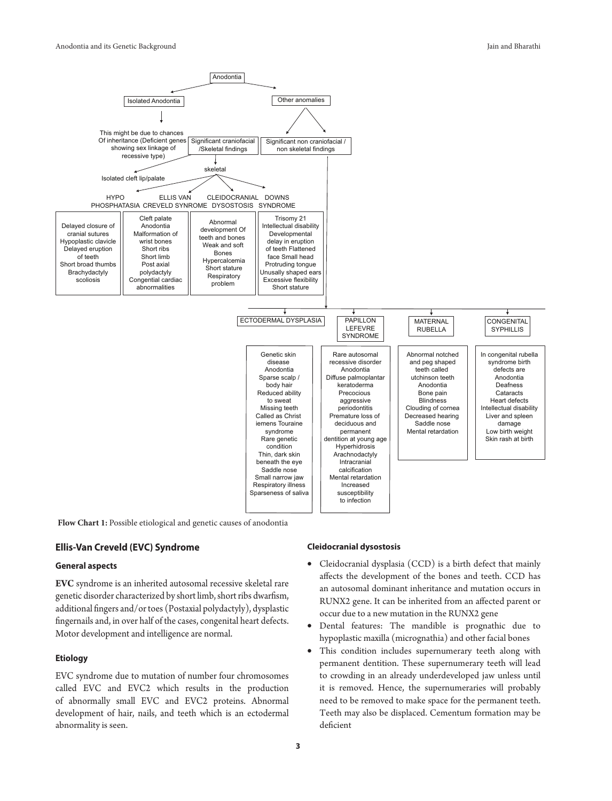

Flow Chart 1: Possible etiological and genetic causes of anodontia

# **Ellis-Van Creveld (EVC) Syndrome**

# **General aspects**

**EVC** syndrome is an inherited autosomal recessive skeletal rare genetic disorder characterized by short limb, short ribs dwarfism, additional fingers and/or toes (Postaxial polydactyly), dysplastic fingernails and, in over half of the cases, congenital heart defects. Motor development and intelligence are normal.

#### **Etiology**

EVC syndrome due to mutation of number four chromosomes called EVC and EVC2 which results in the production of abnormally small EVC and EVC2 proteins. Abnormal development of hair, nails, and teeth which is an ectodermal abnormality is seen.

## **Cleidocranial dysostosis**

- Cleidocranial dysplasia (CCD) is a birth defect that mainly affects the development of the bones and teeth. CCD has an autosomal dominant inheritance and mutation occurs in RUNX2 gene. It can be inherited from an affected parent or occur due to a new mutation in the RUNX2 gene
- Dental features: The mandible is prognathic due to hypoplastic maxilla (micrognathia) and other facial bones
- This condition includes supernumerary teeth along with permanent dentition. These supernumerary teeth will lead to crowding in an already underdeveloped jaw unless until it is removed. Hence, the supernumeraries will probably need to be removed to make space for the permanent teeth. Teeth may also be displaced. Cementum formation may be deficient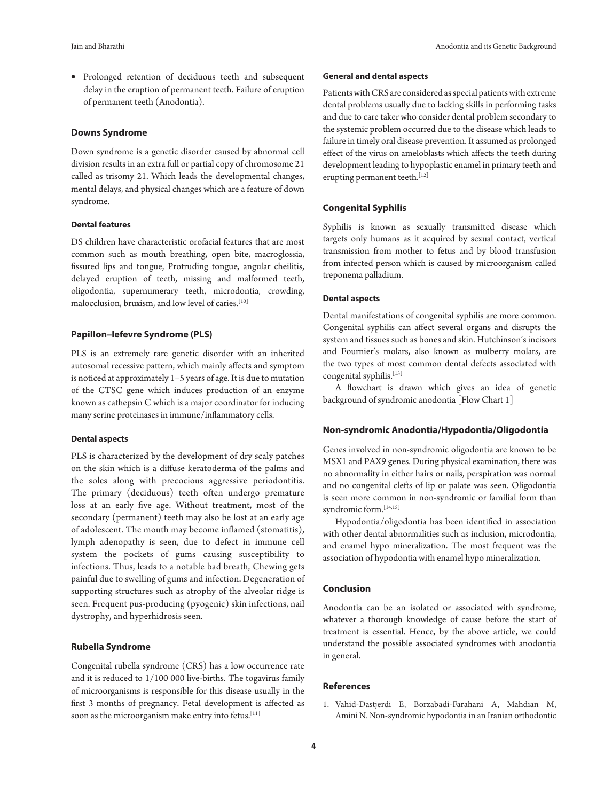• Prolonged retention of deciduous teeth and subsequent delay in the eruption of permanent teeth. Failure of eruption of permanent teeth (Anodontia).

## **Downs Syndrome**

Down syndrome is a genetic disorder caused by abnormal cell division results in an extra full or partial copy of chromosome 21 called as trisomy 21. Which leads the developmental changes, mental delays, and physical changes which are a feature of down syndrome.

# **Dental features**

DS children have characteristic orofacial features that are most common such as mouth breathing, open bite, macroglossia, fissured lips and tongue, Protruding tongue, angular cheilitis, delayed eruption of teeth, missing and malformed teeth, oligodontia, supernumerary teeth, microdontia, crowding, malocclusion, bruxism, and low level of caries.[10]

# **Papillon–lefevre Syndrome (PLS)**

PLS is an extremely rare genetic disorder with an inherited autosomal recessive pattern, which mainly affects and symptom is noticed at approximately 1–5 years of age. It is due to mutation of the CTSC gene which induces production of an enzyme known as cathepsin C which is a major coordinator for inducing many serine proteinases in immune/inflammatory cells.

#### **Dental aspects**

PLS is characterized by the development of dry scaly patches on the skin which is a diffuse keratoderma of the palms and the soles along with precocious aggressive periodontitis. The primary (deciduous) teeth often undergo premature loss at an early five age. Without treatment, most of the secondary (permanent) teeth may also be lost at an early age of adolescent. The mouth may become inflamed (stomatitis), lymph adenopathy is seen, due to defect in immune cell system the pockets of gums causing susceptibility to infections. Thus, leads to a notable bad breath, Chewing gets painful due to swelling of gums and infection. Degeneration of supporting structures such as atrophy of the alveolar ridge is seen. Frequent pus-producing (pyogenic) skin infections, nail dystrophy, and hyperhidrosis seen.

# **Rubella Syndrome**

Congenital rubella syndrome (CRS) has a low occurrence rate and it is reduced to 1/100 000 live-births. The togavirus family of microorganisms is responsible for this disease usually in the first 3 months of pregnancy. Fetal development is affected as soon as the microorganism make entry into fetus.<sup>[11]</sup>

#### **General and dental aspects**

Patients with CRS are considered as special patients with extreme dental problems usually due to lacking skills in performing tasks and due to care taker who consider dental problem secondary to the systemic problem occurred due to the disease which leads to failure in timely oral disease prevention. It assumed as prolonged effect of the virus on ameloblasts which affects the teeth during development leading to hypoplastic enamel in primary teeth and erupting permanent teeth.<sup>[12]</sup>

#### **Congenital Syphilis**

Syphilis is known as sexually transmitted disease which targets only humans as it acquired by sexual contact, vertical transmission from mother to fetus and by blood transfusion from infected person which is caused by microorganism called treponema palladium.

#### **Dental aspects**

Dental manifestations of congenital syphilis are more common. Congenital syphilis can affect several organs and disrupts the system and tissues such as bones and skin. Hutchinson's incisors and Fournier's molars, also known as mulberry molars, are the two types of most common dental defects associated with congenital syphilis.<sup>[13]</sup>

A flowchart is drawn which gives an idea of genetic background of syndromic anodontia [Flow Chart 1]

## **Non-syndromic Anodontia/Hypodontia/Oligodontia**

Genes involved in non-syndromic oligodontia are known to be MSX1 and PAX9 genes. During physical examination, there was no abnormality in either hairs or nails, perspiration was normal and no congenital clefts of lip or palate was seen. Oligodontia is seen more common in non-syndromic or familial form than syndromic form.<sup>[14,15]</sup>

Hypodontia/oligodontia has been identified in association with other dental abnormalities such as inclusion, microdontia, and enamel hypo mineralization. The most frequent was the association of hypodontia with enamel hypo mineralization.

## **Conclusion**

Anodontia can be an isolated or associated with syndrome, whatever a thorough knowledge of cause before the start of treatment is essential. Hence, by the above article, we could understand the possible associated syndromes with anodontia in general.

## **References**

1. Vahid-Dastjerdi E, Borzabadi-Farahani A, Mahdian M, Amini N. Non-syndromic hypodontia in an Iranian orthodontic